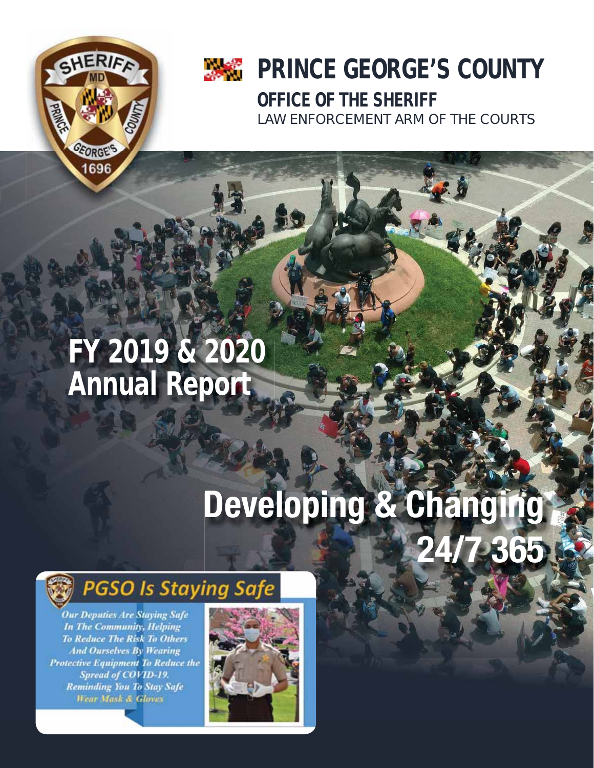

## **PRINCE GEORGE'S COUNTY OFFICE OF THE SHERIFF** LAW ENFORCEMENT ARM OF THE COURTS

**FY 2019 & 2020 Annual Report**

# **Developing & Changing 24/7 365**



**Our Deputies Are Staying Safe In The Community, Helping To Reduce The Risk To Others And Ourselves By Wearing Protective Equipment To Reduce the** Spread of COVID-19. **Reminding You To Stay Safe Wear Mask & Gloves** 

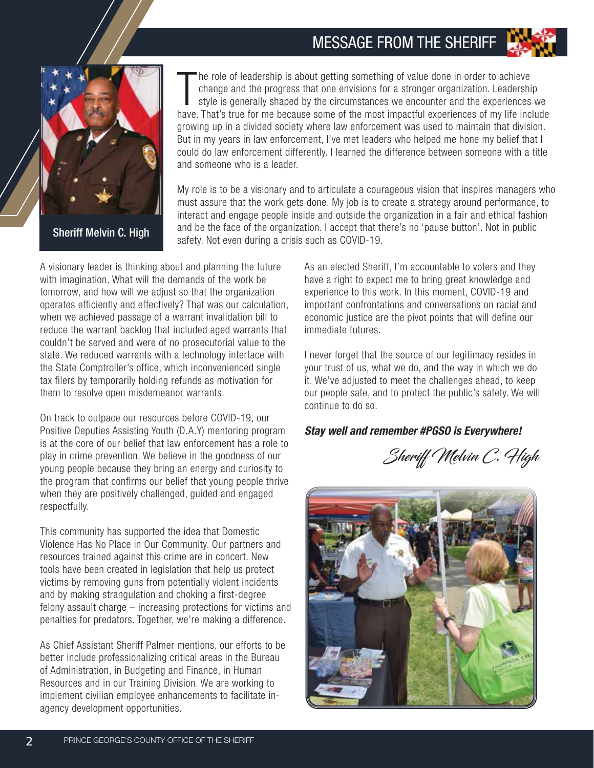#### MESSAGE FROM THE SHERIFF



The role of leadership is about getting something of value done in order to achieve change and the progress that one envisions for a stronger organization. Leadership style is generally shaped by the circumstances we encou he role of leadership is about getting something of value done in order to achieve change and the progress that one envisions for a stronger organization. Leadership style is generally shaped by the circumstances we encounter and the experiences we growing up in a divided society where law enforcement was used to maintain that division. But in my years in law enforcement, I've met leaders who helped me hone my belief that I could do law enforcement differently. I learned the difference between someone with a title and someone who is a leader.

My role is to be a visionary and to articulate a courageous vision that inspires managers who must assure that the work gets done. My job is to create a strategy around performance, to interact and engage people inside and outside the organization in a fair and ethical fashion and be the face of the organization. I accept that there's no 'pause button'. Not in public **Sheriff Melvin C. High** and be the face of the organization. Faccept that the safety. Not even during a crisis such as COVID-19.

A visionary leader is thinking about and planning the future with imagination. What will the demands of the work be tomorrow, and how will we adjust so that the organization operates efficiently and effectively? That was our calculation, when we achieved passage of a warrant invalidation bill to reduce the warrant backlog that included aged warrants that couldn't be served and were of no prosecutorial value to the state. We reduced warrants with a technology interface with the State Comptroller's office, which inconvenienced single tax filers by temporarily holding refunds as motivation for them to resolve open misdemeanor warrants.

On track to outpace our resources before COVID-19, our Positive Deputies Assisting Youth (D.A.Y) mentoring program is at the core of our belief that law enforcement has a role to play in crime prevention. We believe in the goodness of our young people because they bring an energy and curiosity to the program that confirms our belief that young people thrive when they are positively challenged, guided and engaged respectfully.

This community has supported the idea that Domestic Violence Has No Place in Our Community. Our partners and resources trained against this crime are in concert. New tools have been created in legislation that help us protect victims by removing guns from potentially violent incidents and by making strangulation and choking a first-degree felony assault charge – increasing protections for victims and penalties for predators. Together, we're making a difference.

As Chief Assistant Sheriff Palmer mentions, our efforts to be better include professionalizing critical areas in the Bureau of Administration, in Budgeting and Finance, in Human Resources and in our Training Division. We are working to implement civilian employee enhancements to facilitate inagency development opportunities.

As an elected Sheriff, I'm accountable to voters and they have a right to expect me to bring great knowledge and experience to this work. In this moment, COVID-19 and important confrontations and conversations on racial and economic justice are the pivot points that will define our immediate futures.

I never forget that the source of our legitimacy resides in your trust of us, what we do, and the way in which we do it. We've adjusted to meet the challenges ahead, to keep our people safe, and to protect the public's safety. We will continue to do so.

#### *Stay well and remember #PGSO is Everywhere!*

Sheriff Melvin C. High

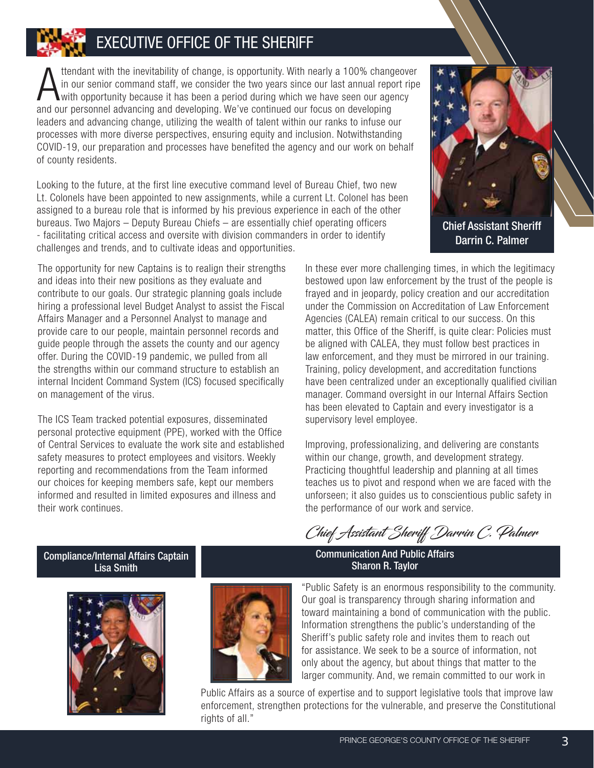#### EXECUTIVE OFFICE OF THE SHERIFF

A ttendant with the inevitability of change, is opportunity. With nearly a 100% change in our senior command staff, we consider the two years since our last annual reportion with opportunity because it has been a period du ttendant with the inevitability of change, is opportunity. With nearly a 100% changeover in our senior command staff, we consider the two years since our last annual report ripe with opportunity because it has been a period during which we have seen our agency leaders and advancing change, utilizing the wealth of talent within our ranks to infuse our processes with more diverse perspectives, ensuring equity and inclusion. Notwithstanding COVID-19, our preparation and processes have benefited the agency and our work on behalf of county residents.

Looking to the future, at the first line executive command level of Bureau Chief, two new Lt. Colonels have been appointed to new assignments, while a current Lt. Colonel has been assigned to a bureau role that is informed by his previous experience in each of the other bureaus. Two Majors – Deputy Bureau Chiefs – are essentially chief operating officers - facilitating critical access and oversite with division commanders in order to identify challenges and trends, and to cultivate ideas and opportunities.



Chief Assistant Sheriff Darrin C. Palmer

The opportunity for new Captains is to realign their strengths and ideas into their new positions as they evaluate and contribute to our goals. Our strategic planning goals include hiring a professional level Budget Analyst to assist the Fiscal Affairs Manager and a Personnel Analyst to manage and provide care to our people, maintain personnel records and guide people through the assets the county and our agency offer. During the COVID-19 pandemic, we pulled from all the strengths within our command structure to establish an internal Incident Command System (ICS) focused specifically on management of the virus.

The ICS Team tracked potential exposures, disseminated personal protective equipment (PPE), worked with the Office of Central Services to evaluate the work site and established safety measures to protect employees and visitors. Weekly reporting and recommendations from the Team informed our choices for keeping members safe, kept our members informed and resulted in limited exposures and illness and their work continues.

In these ever more challenging times, in which the legitimacy bestowed upon law enforcement by the trust of the people is frayed and in jeopardy, policy creation and our accreditation under the Commission on Accreditation of Law Enforcement Agencies (CALEA) remain critical to our success. On this matter, this Office of the Sheriff, is quite clear: Policies must be aligned with CALEA, they must follow best practices in law enforcement, and they must be mirrored in our training. Training, policy development, and accreditation functions have been centralized under an exceptionally qualified civilian manager. Command oversight in our Internal Affairs Section has been elevated to Captain and every investigator is a supervisory level employee.

Improving, professionalizing, and delivering are constants within our change, growth, and development strategy. Practicing thoughtful leadership and planning at all times teaches us to pivot and respond when we are faced with the unforseen; it also guides us to conscientious public safety in the performance of our work and service.

Chief Assistant Sheriff Darrin C. Palmer

Compliance/Internal Affairs Captain Lisa Smith





"Public Safety is an enormous responsibility to the community. Our goal is transparency through sharing information and toward maintaining a bond of communication with the public. Information strengthens the public's understanding of the Sheriff's public safety role and invites them to reach out for assistance. We seek to be a source of information, not only about the agency, but about things that matter to the larger community. And, we remain committed to our work in

Public Affairs as a source of expertise and to support legislative tools that improve law enforcement, strengthen protections for the vulnerable, and preserve the Constitutional rights of all."

Communication And Public Affairs Sharon R. Taylor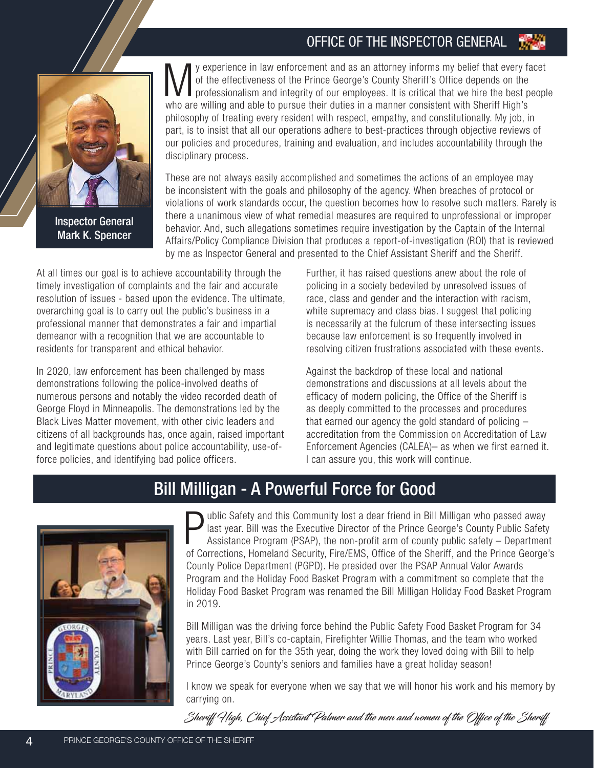#### OFFICE OF THE INSPECTOR GENERAL



Inspector General Mark K. Spencer

y experience in law enforcement and as an attorney informs my belief that every facet<br>of the effectiveness of the Prince George's County Sheriff's Office depends on the<br>professionalism and integrity of our employees. It is of the effectiveness of the Prince George's County Sheriff's Office depends on the professionalism and integrity of our employees. It is critical that we hire the best people who are willing and able to pursue their duties in a manner consistent with Sheriff High's philosophy of treating every resident with respect, empathy, and constitutionally. My job, in part, is to insist that all our operations adhere to best-practices through objective reviews of our policies and procedures, training and evaluation, and includes accountability through the disciplinary process.

These are not always easily accomplished and sometimes the actions of an employee may be inconsistent with the goals and philosophy of the agency. When breaches of protocol or violations of work standards occur, the question becomes how to resolve such matters. Rarely is there a unanimous view of what remedial measures are required to unprofessional or improper behavior. And, such allegations sometimes require investigation by the Captain of the Internal Affairs/Policy Compliance Division that produces a report-of-investigation (ROI) that is reviewed by me as Inspector General and presented to the Chief Assistant Sheriff and the Sheriff.

At all times our goal is to achieve accountability through the timely investigation of complaints and the fair and accurate resolution of issues - based upon the evidence. The ultimate, overarching goal is to carry out the public's business in a professional manner that demonstrates a fair and impartial demeanor with a recognition that we are accountable to residents for transparent and ethical behavior.

In 2020, law enforcement has been challenged by mass demonstrations following the police-involved deaths of numerous persons and notably the video recorded death of George Floyd in Minneapolis. The demonstrations led by the Black Lives Matter movement, with other civic leaders and citizens of all backgrounds has, once again, raised important and legitimate questions about police accountability, use-offorce policies, and identifying bad police officers.

Further, it has raised questions anew about the role of policing in a society bedeviled by unresolved issues of race, class and gender and the interaction with racism, white supremacy and class bias. I suggest that policing is necessarily at the fulcrum of these intersecting issues because law enforcement is so frequently involved in resolving citizen frustrations associated with these events.

Against the backdrop of these local and national demonstrations and discussions at all levels about the efficacy of modern policing, the Office of the Sheriff is as deeply committed to the processes and procedures that earned our agency the gold standard of policing – accreditation from the Commission on Accreditation of Law Enforcement Agencies (CALEA)– as when we first earned it. I can assure you, this work will continue.

#### Bill Milligan - A Powerful Force for Good



**Public Safety and this Community lost a dear friend in Bill Milligan who passed away** last year. Bill was the Executive Director of the Prince George's County Public Safety Assistance Program (PSAP), the non-profit arm of ublic Safety and this Community lost a dear friend in Bill Milligan who passed away last year. Bill was the Executive Director of the Prince George's County Public Safety Assistance Program (PSAP), the non-profit arm of county public safety – Department County Police Department (PGPD). He presided over the PSAP Annual Valor Awards Program and the Holiday Food Basket Program with a commitment so complete that the Holiday Food Basket Program was renamed the Bill Milligan Holiday Food Basket Program in 2019.

Bill Milligan was the driving force behind the Public Safety Food Basket Program for 34 years. Last year, Bill's co-captain, Firefighter Willie Thomas, and the team who worked with Bill carried on for the 35th year, doing the work they loved doing with Bill to help Prince George's County's seniors and families have a great holiday season!

I know we speak for everyone when we say that we will honor his work and his memory by carrying on.

Sheriff High, Chief Assistant Palmer and the men and women of the Office of the Sheriff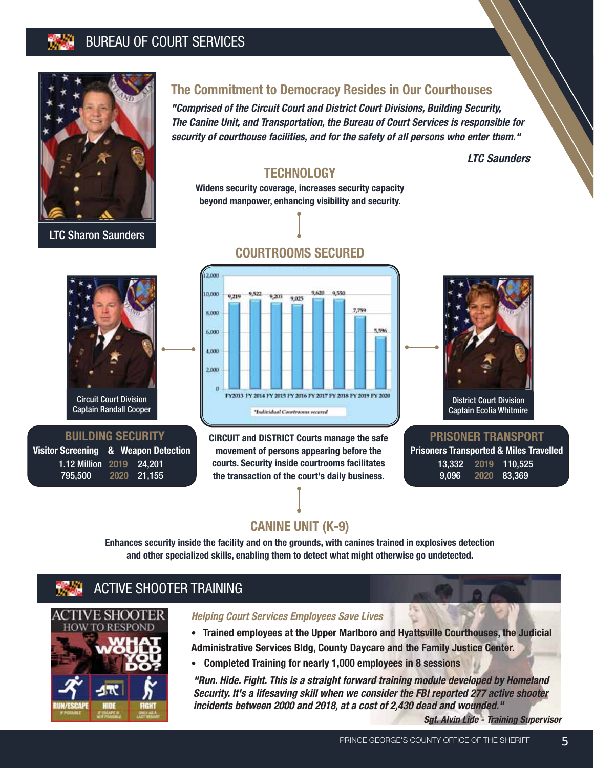#### BUREAU OF COURT SERVICES



LTC Sharon Saunders

#### **The Commitment to Democracy Resides in Our Courthouses**

*"Comprised of the Circuit Court and District Court Divisions, Building Security, The Canine Unit, and Transportation, the Bureau of Court Services is responsible for security of courthouse facilities, and for the safety of all persons who enter them."*

*LTC Saunders*

#### **TECHNOLOGY**

**Widens security coverage, increases security capacity beyond manpower, enhancing visibility and security.**

**COURTROOMS SECURED**



#### **BUILDING SECURITY**

**Visitor Screening & Weapon Detection** 1.12 Million **2019** 24,201 795,500 **2020** 21,155

12.000 10,000 9,522 9.620 9.550 9,219 9,203 a cos 7,759 8,000 5.596 6,000 4,000  $2,000$  $\theta$ FY2013 FY 2014 FY 2015 FY 2016 FY 2017 FY 2018 FY 2019 FY 2020 \*Individual Courtrooms secured

**CIRCUIT and DISTRICT Courts manage the safe movement of persons appearing before the courts. Security inside courtrooms facilitates the transaction of the court's daily business.**



#### **PRISONER TRANSPORT**

| Prisoners Transported & Miles Travelled |  |  |
|-----------------------------------------|--|--|
| 13.332 2019 110.525                     |  |  |
| 9,096 2020 83,369                       |  |  |

#### **CANINE UNIT (K-9)**

**Enhances security inside the facility and on the grounds, with canines trained in explosives detection and other specialized skills, enabling them to detect what might otherwise go undetected.**

#### ACTIVE SHOOTER TRAINING



#### *Helping Court Services Employees Save Lives*

**• Trained employees at the Upper Marlboro and Hyattsville Courthouses, the Judicial Administrative Services Bldg, County Daycare and the Family Justice Center.**

**• Completed Training for nearly 1,000 employees in 8 sessions**

*"Run. Hide. Fight. This is a straight forward training module developed by Homeland Security. It's a lifesaving skill when we consider the FBI reported 277 active shooter incidents between 2000 and 2018, at a cost of 2,430 dead and wounded."*

*Sgt. Alvin Lide - Training Supervisor*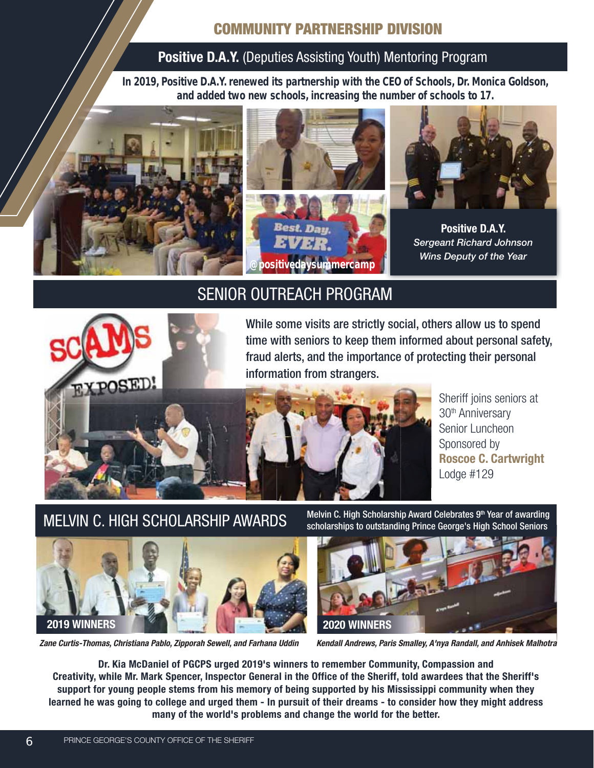#### **COMMUNITY PARTNERSHIP DIVISION**

#### **Positive D.A.Y.** (Deputies Assisting Youth) Mentoring Program

**In 2019, Positive D.A.Y. renewed its partnership with the CEO of Schools, Dr. Monica Goldson, and added two new schools, increasing the number of schools to 17.**



#### SENIOR OUTREACH PROGRAM



While some visits are strictly social, others allow us to spend time with seniors to keep them informed about personal safety, fraud alerts, and the importance of protecting their personal information from strangers.



MELVIN C. HIGH SCHOLARSHIP AWARDS Melvin C. High Scholarship Award Celebrates 9th Year of awarding scholarships to outstanding Prince George's High School Seniors



*Zane Curtis-Thomas, Christiana Pablo, Zipporah Sewell, and Farhana Uddin*

*Kendall Andrews, Paris Smalley, A'nya Randall, and Anhisek Malhotra*

**Dr. Kia McDaniel of PGCPS urged 2019's winners to remember Community, Compassion and Creativity, while Mr. Mark Spencer, Inspector General in the Office of the Sheriff, told awardees that the Sheriff's support for young people stems from his memory of being supported by his Mississippi community when they learned he was going to college and urged them - In pursuit of their dreams - to consider how they might address many of the world's problems and change the world for the better.**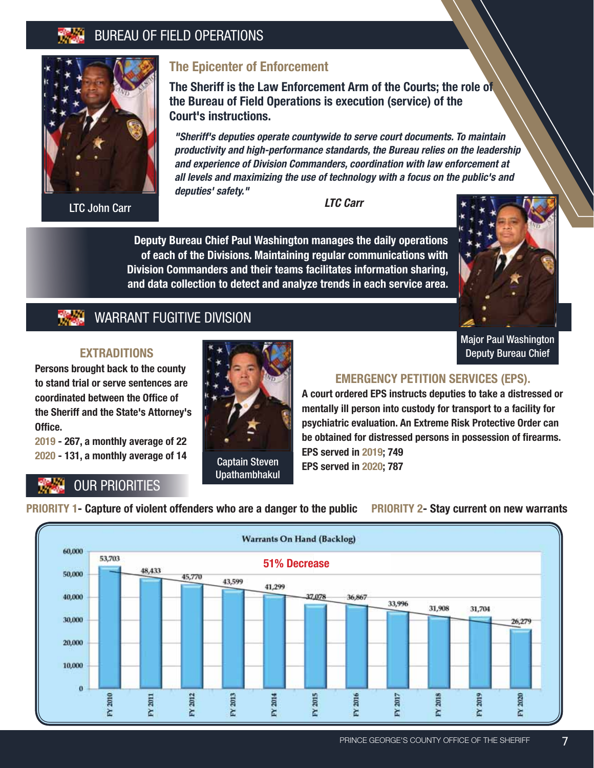#### BUREAU OF FIELD OPERATIONS



LTC John Carr

#### **The Epicenter of Enforcement**

**The Sheriff is the Law Enforcement Arm of the Courts; the role of the Bureau of Field Operations is execution (service) of the Court's instructions.**

*"Sheriff's deputies operate countywide to serve court documents. To maintain productivity and high-performance standards, the Bureau relies on the leadership and experience of Division Commanders, coordination with law enforcement at all levels and maximizing the use of technology with a focus on the public's and deputies' safety."*

*LTC Carr*

**Deputy Bureau Chief Paul Washington manages the daily operations of each of the Divisions. Maintaining regular communications with Division Commanders and their teams facilitates information sharing, and data collection to detect and analyze trends in each service area.**



Major Paul Washington Deputy Bureau Chief

#### WARRANT FUGITIVE DIVISION

#### **EXTRADITIONS**

**Persons brought back to the county to stand trial or serve sentences are coordinated between the Office of the Sheriff and the State's Attorney's**  Office.

**2019 - 267, a monthly average of 22 2020 - 131, a monthly average of 14**

# Captain Steven Upathambhakul

#### **EMERGENCY PETITION SERVICES (EPS).**

**A court ordered EPS instructs deputies to take a distressed or mentally ill person into custody for transport to a facility for psychiatric evaluation. An Extreme Risk Protective Order can**  be obtained for distressed persons in possession of firearms. **EPS served in 2019; 749 EPS served in 2020; 787**

### OUR PRIORITIES

**PRIORITY 1- Capture of violent offenders who are a danger to the public PRIORITY 2- Stay current on new warrants**

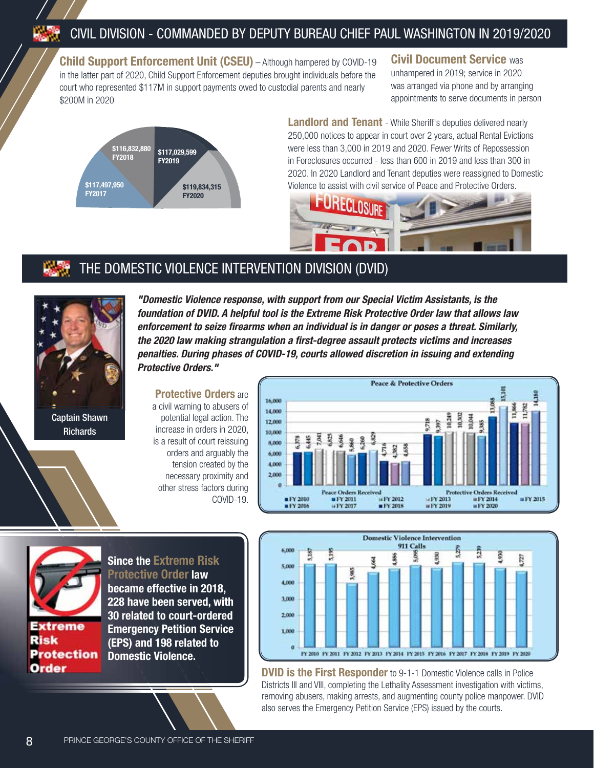**Child Support Enforcement Unit (CSEU)** – Although hampered by COVID-19 in the latter part of 2020, Child Support Enforcement deputies brought individuals before the court who represented \$117M in support payments owed to custodial parents and nearly \$200M in 2020





**Landlord and Tenant** - While Sheriff's deputies delivered nearly 250,000 notices to appear in court over 2 years, actual Rental Evictions were less than 3,000 in 2019 and 2020. Fewer Writs of Repossession in Foreclosures occurred - less than 600 in 2019 and less than 300 in 2020. In 2020 Landlord and Tenant deputies were reassigned to Domestic Violence to assist with civil service of Peace and Protective Orders.



#### THE DOMESTIC VIOLENCE INTERVENTION DIVISION (DVID)



Captain Shawn **Richards** 

*"Domestic Violence response, with support from our Special Victim Assistants, is the foundation of DVID. A helpful tool is the Extreme Risk Protective Order law that allows law enforcement to seize fi rearms when an individual is in danger or poses a threat. Similarly, the 2020 law making strangulation a fi rst-degree assault protects victims and increases penalties. During phases of COVID-19, courts allowed discretion in issuing and extending Protective Orders."*

#### **Protective Orders** are a civil warning to abusers of potential legal action. The increase in orders in 2020, is a result of court reissuing orders and arguably the tension created by the necessary proximity and other stress factors during COVID-19.





eme **Protection** Order

**Since the Extreme Risk Protective Order law** 

**became effective in 2018, 228 have been served, with 30 related to court-ordered Emergency Petition Service (EPS) and 198 related to Domestic Violence.**



**DVID is the First Responder** to 9-1-1 Domestic Violence calls in Police Districts III and VIII, completing the Lethality Assessment investigation with victims, removing abusers, making arrests, and augmenting county police manpower. DVID also serves the Emergency Petition Service (EPS) issued by the courts.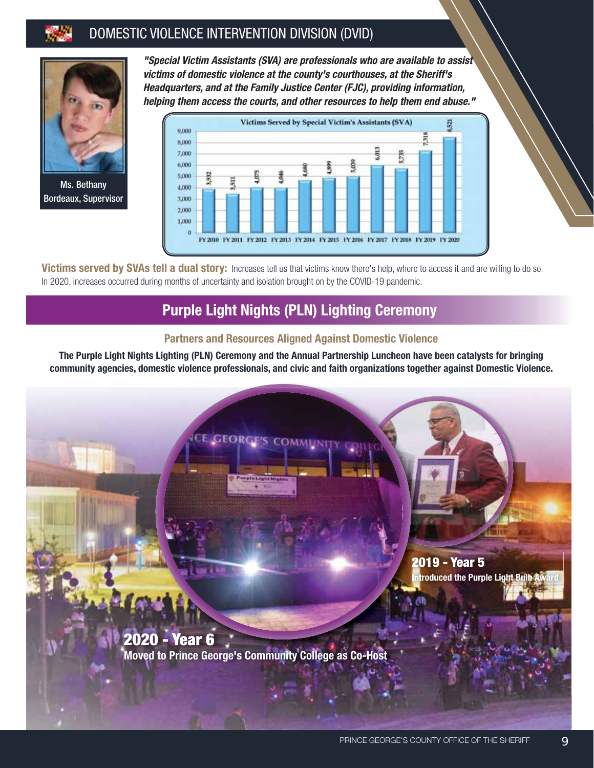#### DOMESTIC VIOLENCE INTERVENTION DIVISION (DVID)



Ms. Bethany Bordeaux, Supervisor

*"Special Victim Assistants (SVA) are professionals who are available to assist victims of domestic violence at the county's courthouses, at the Sheriff's Headquarters, and at the Family Justice Center (FJC), providing information, helping them access the courts, and other resources to help them end abuse."*



Victims served by SVAs tell a dual story: Increases tell us that victims know there's help, where to access it and are willing to do so. In 2020, increases occurred during months of uncertainty and isolation brought on by the COVID-19 pandemic.

#### **Purple Light Nights (PLN) Lighting Ceremony**

#### **Partners and Resources Aligned Against Domestic Violence**

**The Purple Light Nights Lighting (PLN) Ceremony and the Annual Partnership Luncheon have been catalysts for bringing community agencies, domestic violence professionals, and civic and faith organizations together against Domestic Violence.**

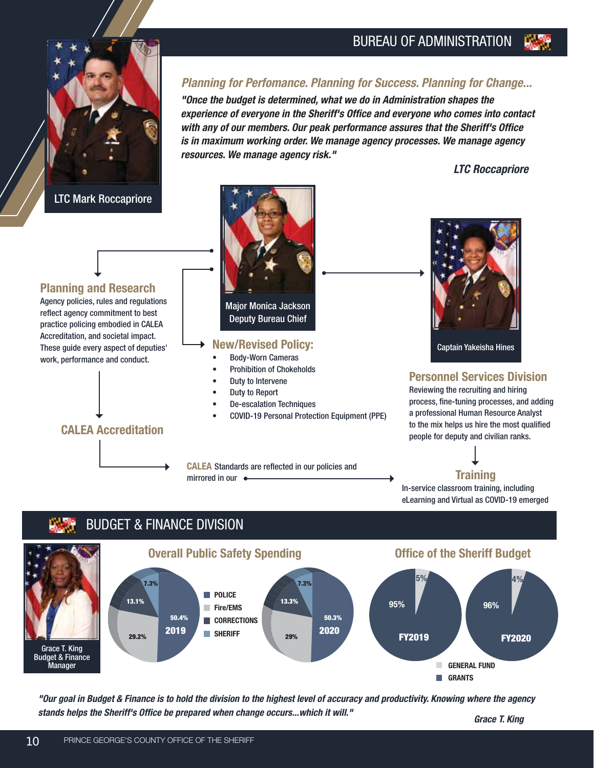

LTC Mark Roccapriore

#### *Planning for Perfomance. Planning for Success. Planning for Change...*

*"Once the budget is determined, what we do in Administration shapes the experience of everyone in the Sheriff's Office and everyone who comes into contact with any of our members. Our peak performance assures that the Sheriff's Office is in maximum working order. We manage agency processes. We manage agency resources. We manage agency risk."*

*LTC Roccapriore*

#### **Planning and Research**

Agency policies, rules and regulations reflect agency commitment to best practice policing embodied in CALEA Accreditation, and societal impact. These guide every aspect of deputies' work, performance and conduct.



Major Monica Jackson Deputy Bureau Chief

#### **New/Revised Policy:**

- Body-Worn Cameras
- Prohibition of Chokeholds
- Duty to Intervene
- Duty to Report
- De-escalation Techniques
- COVID-19 Personal Protection Equipment (PPE)

**CALEA** Standards are reflected in our policies and mirrored in our  $\bullet$ 



Captain Yakeisha Hines

#### **Personnel Services Division**

Reviewing the recruiting and hiring process, fine-tuning processes, and adding a professional Human Resource Analyst to the mix helps us hire the most qualified people for deputy and civilian ranks.

**Training** In-service classroom training, including eLearning and Virtual as COVID-19 emerged

#### BUDGET & FINANCE DIVISION



*"Our goal in Budget & Finance is to hold the division to the highest level of accuracy and productivity. Knowing where the agency stands helps the Sheriff's Office be prepared when change occurs...which it will."*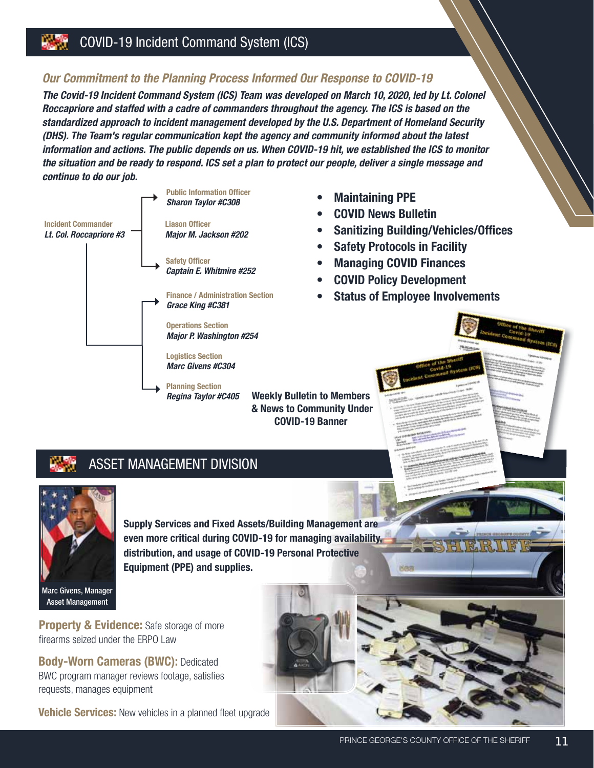#### *Our Commitment to the Planning Process Informed Our Response to COVID-19*

*The Covid-19 Incident Command System (ICS) Team was developed on March 10, 2020, led by Lt. Colonel Roccapriore and staffed with a cadre of commanders throughout the agency. The ICS is based on the standardized approach to incident management developed by the U.S. Department of Homeland Security (DHS). The Team's regular communication kept the agency and community informed about the latest information and actions. The public depends on us. When COVID-19 hit, we established the ICS to monitor the situation and be ready to respond. ICS set a plan to protect our people, deliver a single message and continue to do our job.*



**Weekly Bulletin to Members & News to Community Under COVID-19 Banner**

- **Maintaining PPE**
- **COVID News Bulletin**
- **Sanitizing Building/Vehicles/Offices**
- **Safety Protocols in Facility**
- **Managing COVID Finances**
- **COVID Policy Development**
- **Status of Employee Involvements**





**Supply Services and Fixed Assets/Building Management are even more critical during COVID-19 for managing availability, distribution, and usage of COVID-19 Personal Protective Equipment (PPE) and supplies.**

Marc Givens, Manager Asset Management

**Property & Evidence:** Safe storage of more firearms seized under the ERPO Law

**Body-Worn Cameras (BWC):** Dedicated BWC program manager reviews footage, satisfies requests, manages equipment

**Vehicle Services:** New vehicles in a planned fleet upgrade